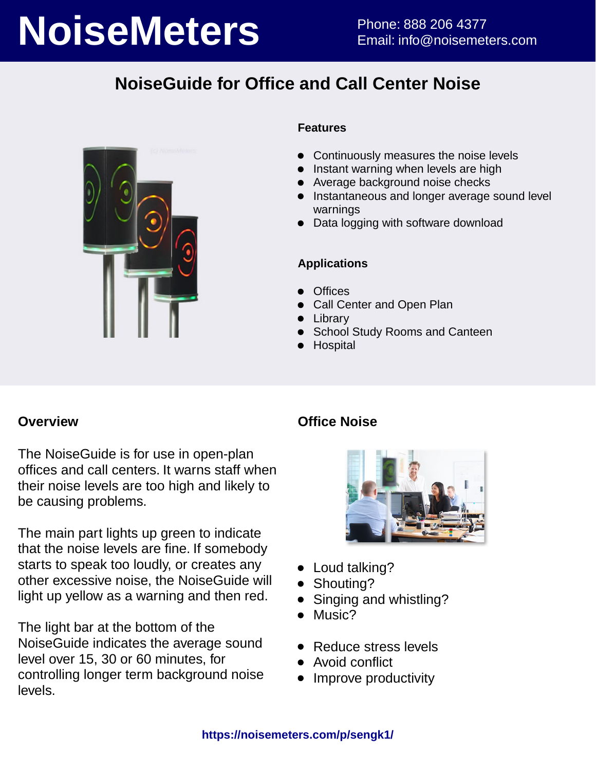# **NoiseMeters** Phone: 888 206 4377

# **NoiseGuide for Office and Call Center Noise**



### **Features**

- Continuously measures the noise levels
- Instant warning when levels are high
- Average background noise checks
- **•** Instantaneous and longer average sound level warnings
- Data logging with software download

### **Applications**

- **Offices**
- Call Center and Open Plan
- Library
- School Study Rooms and Canteen
- **Hospital**

### **Overview**

The NoiseGuide is for use in open-plan offices and call centers. It warns staff when their noise levels are too high and likely to be causing problems.

The main part lights up green to indicate that the noise levels are fine. If somebody starts to speak too loudly, or creates any other excessive noise, the NoiseGuide will light up yellow as a warning and then red.

The light bar at the bottom of the NoiseGuide indicates the average sound level over 15, 30 or 60 minutes, for controlling longer term background noise levels.

## **Office Noise**



- Loud talking?
- Shouting?
- Singing and whistling?
- Music?
- Reduce stress levels
- Avoid conflict
- Improve productivity